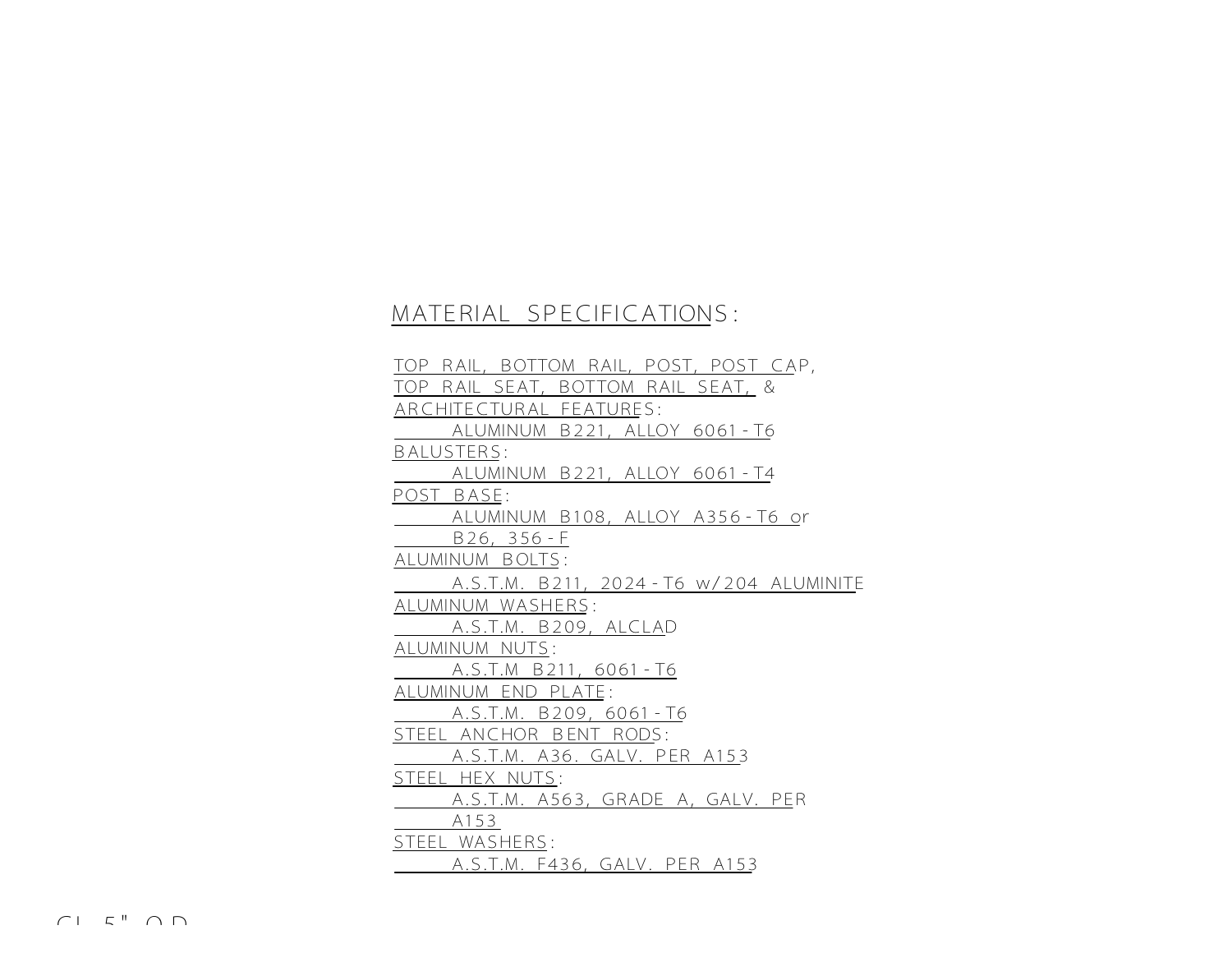## MATERIAL SPECIFICATIONS:

TOP RAIL, BOTTOM RAIL, POST, POST CAP, TOP RAIL SEAT, BOTTOM RAIL SEAT, & ARCHITECTURAL FEATURES: ALUMINUM B221, ALLOY 6061-T6 BALUSTERS: ALUMINUM B221, ALLOY 6061-T4 POST\_BASE: ALUMINUM B108, ALLOY A356-T6 or B26, 356-F ALUMINUM BOLTS: A.S.T.M. B211, 2024-T6 w/204 ALUMINITE ALUMINUM WASHERS: A.S.T.M. B209, ALCLAD ALUMINUM NUTS: A.S.T.M B211, 6061-T6 ALUMINUM END PLATE: A.S.T.M. B209, 6061-T6 STEEL ANCHOR BENT RODS: A.S.T.M. A36. GALV. PER A153 STEEL HEX NUTS: A.S.T.M. A563, GRADE A, GALV. PER A153 STEEL WASHERS: A.S.T.M. F436, GALV. PER A153